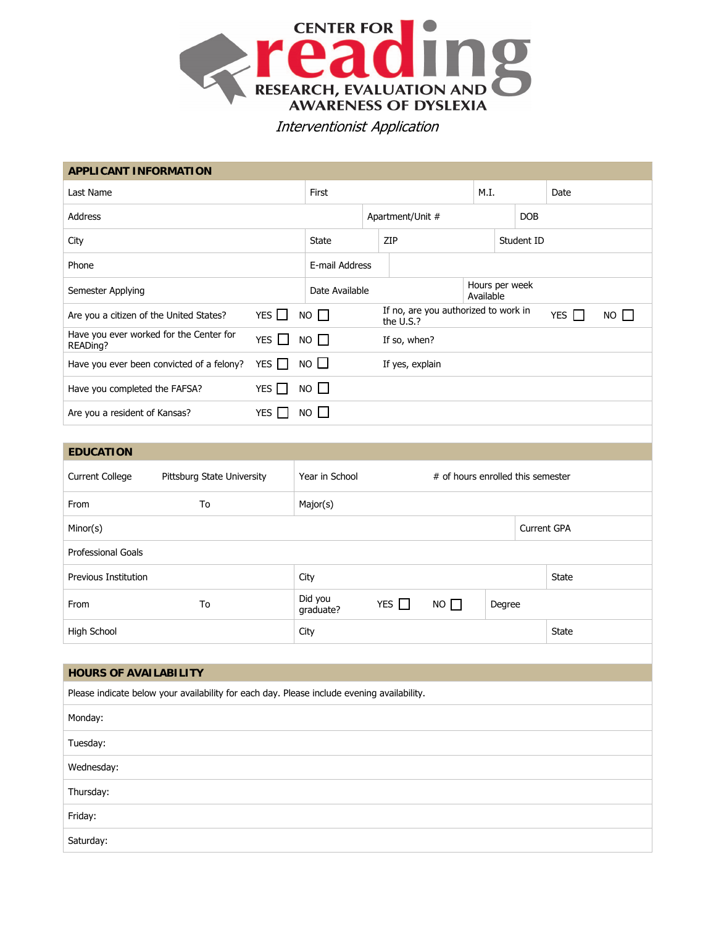

## Interventionist Application

| <b>APPLICANT INFORMATION</b>                                                               |    |            |                                                     |                                                                  |  |                             |  |                           |            |  |              |  |  |
|--------------------------------------------------------------------------------------------|----|------------|-----------------------------------------------------|------------------------------------------------------------------|--|-----------------------------|--|---------------------------|------------|--|--------------|--|--|
| Last Name                                                                                  |    |            | First                                               |                                                                  |  | M.I.                        |  | Date                      |            |  |              |  |  |
| Address                                                                                    |    |            |                                                     | Apartment/Unit #                                                 |  |                             |  | <b>DOB</b>                |            |  |              |  |  |
| City                                                                                       |    |            |                                                     | <b>State</b><br>ZIP                                              |  |                             |  |                           | Student ID |  |              |  |  |
| Phone                                                                                      |    |            |                                                     | E-mail Address                                                   |  |                             |  |                           |            |  |              |  |  |
| Semester Applying                                                                          |    |            | Date Available                                      |                                                                  |  | Hours per week<br>Available |  |                           |            |  |              |  |  |
| Are you a citizen of the United States?                                                    |    | YES $\Box$ |                                                     | If no, are you authorized to work in<br>$NO$ $\Box$<br>the U.S.? |  |                             |  | YES $\Box$<br>$NO$ $\Box$ |            |  |              |  |  |
| Have you ever worked for the Center for<br>READing?                                        |    | YES $\Box$ |                                                     | $NO$ $\Box$                                                      |  | If so, when?                |  |                           |            |  |              |  |  |
| Have you ever been convicted of a felony?                                                  |    | YES $\Box$ |                                                     | $\perp$<br><b>NO</b><br>If yes, explain                          |  |                             |  |                           |            |  |              |  |  |
| YES $\Box$<br>Have you completed the FAFSA?                                                |    |            |                                                     | $NO$ $\Box$                                                      |  |                             |  |                           |            |  |              |  |  |
| YES $\Box$<br>Are you a resident of Kansas?                                                |    |            | NO                                                  |                                                                  |  |                             |  |                           |            |  |              |  |  |
|                                                                                            |    |            |                                                     |                                                                  |  |                             |  |                           |            |  |              |  |  |
| <b>EDUCATION</b>                                                                           |    |            |                                                     |                                                                  |  |                             |  |                           |            |  |              |  |  |
| <b>Current College</b><br>Pittsburg State University                                       |    |            | Year in School<br># of hours enrolled this semester |                                                                  |  |                             |  |                           |            |  |              |  |  |
| From                                                                                       | To |            |                                                     | Major(s)                                                         |  |                             |  |                           |            |  |              |  |  |
| Minor(s)                                                                                   |    |            | <b>Current GPA</b>                                  |                                                                  |  |                             |  |                           |            |  |              |  |  |
| Professional Goals                                                                         |    |            |                                                     |                                                                  |  |                             |  |                           |            |  |              |  |  |
| Previous Institution                                                                       |    |            |                                                     | City                                                             |  |                             |  |                           |            |  | <b>State</b> |  |  |
| From                                                                                       | To |            |                                                     | Did you<br>YES $\Box$<br>NO<br>Degree<br>graduate?               |  |                             |  |                           |            |  |              |  |  |
| High School                                                                                |    |            |                                                     | City                                                             |  |                             |  |                           |            |  | State        |  |  |
|                                                                                            |    |            |                                                     |                                                                  |  |                             |  |                           |            |  |              |  |  |
| <b>HOURS OF AVAILABILITY</b>                                                               |    |            |                                                     |                                                                  |  |                             |  |                           |            |  |              |  |  |
| Please indicate below your availability for each day. Please include evening availability. |    |            |                                                     |                                                                  |  |                             |  |                           |            |  |              |  |  |
| Monday:                                                                                    |    |            |                                                     |                                                                  |  |                             |  |                           |            |  |              |  |  |
| Tuesday:                                                                                   |    |            |                                                     |                                                                  |  |                             |  |                           |            |  |              |  |  |
| Wednesday:                                                                                 |    |            |                                                     |                                                                  |  |                             |  |                           |            |  |              |  |  |
| Thursday:                                                                                  |    |            |                                                     |                                                                  |  |                             |  |                           |            |  |              |  |  |
| Friday:                                                                                    |    |            |                                                     |                                                                  |  |                             |  |                           |            |  |              |  |  |
| Saturday:                                                                                  |    |            |                                                     |                                                                  |  |                             |  |                           |            |  |              |  |  |